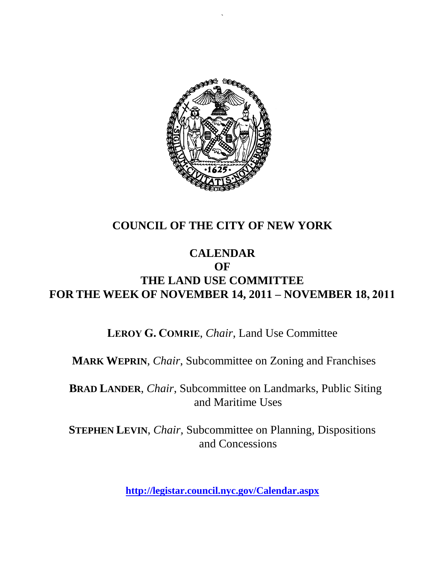

`

### **COUNCIL OF THE CITY OF NEW YORK**

#### **CALENDAR OF THE LAND USE COMMITTEE FOR THE WEEK OF NOVEMBER 14, 2011 – NOVEMBER 18, 2011**

**LEROY G. COMRIE**, *Chair*, Land Use Committee

**MARK WEPRIN**, *Chair*, Subcommittee on Zoning and Franchises

**BRAD LANDER**, *Chair*, Subcommittee on Landmarks, Public Siting and Maritime Uses

**STEPHEN LEVIN**, *Chair,* Subcommittee on Planning, Dispositions and Concessions

**<http://legistar.council.nyc.gov/Calendar.aspx>**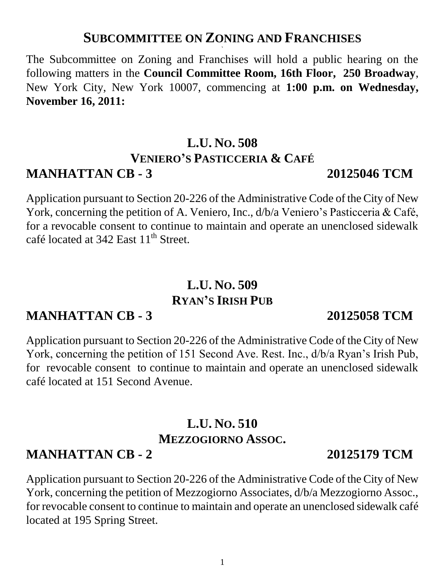#### **SUBCOMMITTEE ON ZONING AND FRANCHISES `**

The Subcommittee on Zoning and Franchises will hold a public hearing on the following matters in the **Council Committee Room, 16th Floor, 250 Broadway**, New York City, New York 10007, commencing at **1:00 p.m. on Wednesday, November 16, 2011:** 

# **L.U. NO. 508 VENIERO'S PASTICCERIA & CAFÉ MANHATTAN CB - 3 20125046 TCM**

Application pursuant to Section 20-226 of the Administrative Code of the City of New York, concerning the petition of A. Veniero, Inc., d/b/a Veniero's Pasticceria & Café, for a revocable consent to continue to maintain and operate an unenclosed sidewalk café located at  $342$  East  $11<sup>th</sup>$  Street.

# **L.U. NO. 509 RYAN'S IRISH PUB**

# **MANHATTAN CB - 3 20125058 TCM**

Application pursuant to Section 20-226 of the Administrative Code of the City of New York, concerning the petition of 151 Second Ave. Rest. Inc., d/b/a Ryan's Irish Pub, for revocable consent to continue to maintain and operate an unenclosed sidewalk café located at 151 Second Avenue.

# **L.U. NO. 510 MEZZOGIORNO ASSOC.**

# **MANHATTAN CB - 2 20125179 TCM**

Application pursuant to Section 20-226 of the Administrative Code of the City of New York, concerning the petition of Mezzogiorno Associates, d/b/a Mezzogiorno Assoc., for revocable consent to continue to maintain and operate an unenclosed sidewalk café located at 195 Spring Street.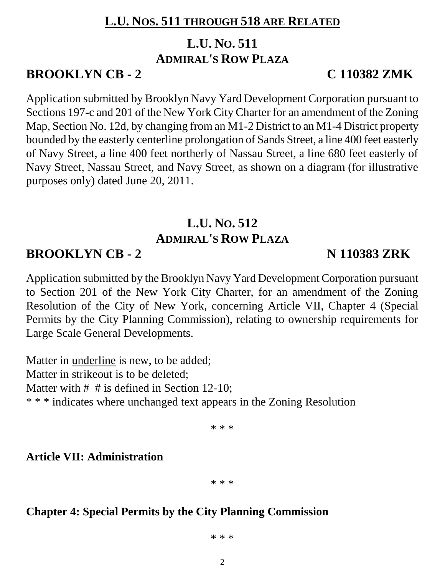## **L.U. NOS. 511 THROUGH 518 ARE RELATED**

# **L.U. NO. 511**

## **ADMIRAL'S ROW PLAZA**

# **BROOKLYN CB - 2 C 110382 ZMK**

Application submitted by Brooklyn Navy Yard Development Corporation pursuant to Sections 197-c and 201 of the New York City Charter for an amendment of the Zoning Map, Section No. 12d, by changing from an M1-2 District to an M1-4 District property bounded by the easterly centerline prolongation of Sands Street, a line 400 feet easterly of Navy Street, a line 400 feet northerly of Nassau Street, a line 680 feet easterly of Navy Street, Nassau Street, and Navy Street, as shown on a diagram (for illustrative purposes only) dated June 20, 2011.

# **L.U. NO. 512 ADMIRAL'S ROW PLAZA**

# **BROOKLYN CB - 2 N 110383 ZRK**

Application submitted by the Brooklyn Navy Yard Development Corporation pursuant to Section 201 of the New York City Charter, for an amendment of the Zoning Resolution of the City of New York, concerning Article VII, Chapter 4 (Special Permits by the City Planning Commission), relating to ownership requirements for Large Scale General Developments.

Matter in underline is new, to be added; Matter in strikeout is to be deleted; Matter with # # is defined in Section 12-10: \* \* \* indicates where unchanged text appears in the Zoning Resolution

\* \* \*

**Article VII: Administration**

\* \* \*

#### **Chapter 4: Special Permits by the City Planning Commission**

\* \* \*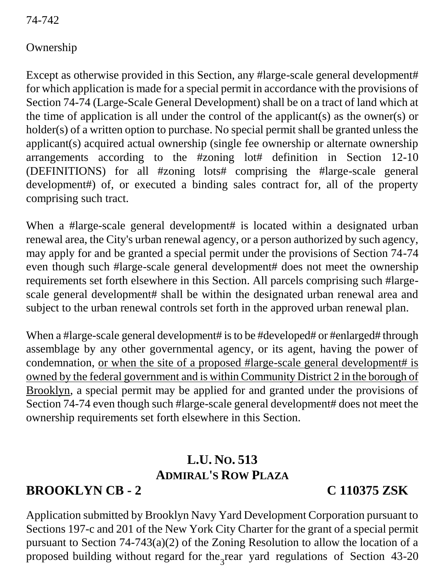74-742

#### Ownership

Except as otherwise provided in this Section, any #large-scale general development# for which application is made for a special permit in accordance with the provisions of Section 74-74 (Large-Scale General Development) shall be on a tract of land which at the time of application is all under the control of the applicant(s) as the owner(s) or holder(s) of a written option to purchase. No special permit shall be granted unless the applicant(s) acquired actual ownership (single fee ownership or alternate ownership arrangements according to the #zoning lot# definition in Section 12-10 (DEFINITIONS) for all #zoning lots# comprising the #large-scale general development#) of, or executed a binding sales contract for, all of the property comprising such tract.

When a #large-scale general development# is located within a designated urban renewal area, the City's urban renewal agency, or a person authorized by such agency, may apply for and be granted a special permit under the provisions of Section 74-74 even though such #large-scale general development# does not meet the ownership requirements set forth elsewhere in this Section. All parcels comprising such #largescale general development# shall be within the designated urban renewal area and subject to the urban renewal controls set forth in the approved urban renewal plan.

When a #large-scale general development# is to be #developed# or #enlarged# through assemblage by any other governmental agency, or its agent, having the power of condemnation, <u>or when the site of a proposed #large-scale general development#</u> is owned by the federal government and is within Community District 2 in the borough of Brooklyn, a special permit may be applied for and granted under the provisions of Section 74-74 even though such #large-scale general development# does not meet the ownership requirements set forth elsewhere in this Section.

# **L.U. NO. 513 ADMIRAL'S ROW PLAZA**

# **BROOKLYN CB - 2 C 110375 ZSK**

proposed building without regard for the rear yard regulations of Section 43-20 Application submitted by Brooklyn Navy Yard Development Corporation pursuant to Sections 197-c and 201 of the New York City Charter for the grant of a special permit pursuant to Section 74-743(a)(2) of the Zoning Resolution to allow the location of a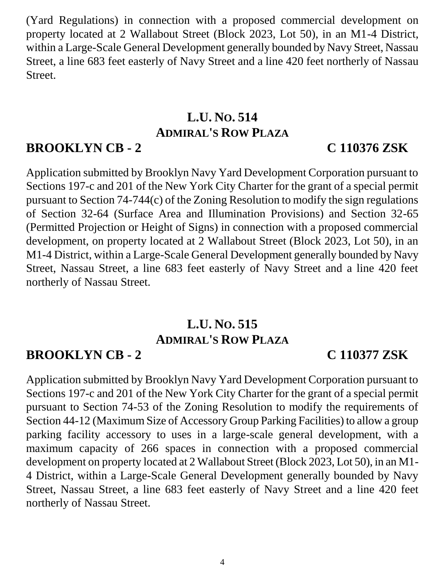(Yard Regulations) in connection with a proposed commercial development on property located at 2 Wallabout Street (Block 2023, Lot 50), in an M1-4 District, within a Large-Scale General Development generally bounded by Navy Street, Nassau Street, a line 683 feet easterly of Navy Street and a line 420 feet northerly of Nassau Street.

# **L.U. NO. 514 ADMIRAL'S ROW PLAZA**

## **BROOKLYN CB - 2 C 110376 ZSK**

Application submitted by Brooklyn Navy Yard Development Corporation pursuant to Sections 197-c and 201 of the New York City Charter for the grant of a special permit pursuant to Section 74-744(c) of the Zoning Resolution to modify the sign regulations of Section 32-64 (Surface Area and Illumination Provisions) and Section 32-65 (Permitted Projection or Height of Signs) in connection with a proposed commercial development, on property located at 2 Wallabout Street (Block 2023, Lot 50), in an M1-4 District, within a Large-Scale General Development generally bounded by Navy Street, Nassau Street, a line 683 feet easterly of Navy Street and a line 420 feet northerly of Nassau Street.

# **L.U. NO. 515 ADMIRAL'S ROW PLAZA**

# **BROOKLYN CB - 2 C 110377 ZSK**

Application submitted by Brooklyn Navy Yard Development Corporation pursuant to Sections 197-c and 201 of the New York City Charter for the grant of a special permit pursuant to Section 74-53 of the Zoning Resolution to modify the requirements of Section 44-12 (Maximum Size of Accessory Group Parking Facilities) to allow a group parking facility accessory to uses in a large-scale general development, with a maximum capacity of 266 spaces in connection with a proposed commercial development on property located at 2 Wallabout Street (Block 2023, Lot 50), in an M1- 4 District, within a Large-Scale General Development generally bounded by Navy Street, Nassau Street, a line 683 feet easterly of Navy Street and a line 420 feet northerly of Nassau Street.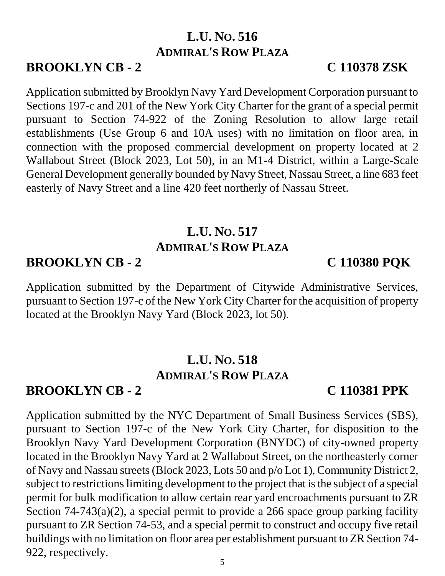**L.U. NO. 516**

**ADMIRAL'S ROW PLAZA**

Application submitted by Brooklyn Navy Yard Development Corporation pursuant to Sections 197-c and 201 of the New York City Charter for the grant of a special permit pursuant to Section 74-922 of the Zoning Resolution to allow large retail establishments (Use Group 6 and 10A uses) with no limitation on floor area, in connection with the proposed commercial development on property located at 2 Wallabout Street (Block 2023, Lot 50), in an M1-4 District, within a Large-Scale General Development generally bounded by Navy Street, Nassau Street, a line 683 feet easterly of Navy Street and a line 420 feet northerly of Nassau Street.

# **L.U. NO. 517 ADMIRAL'S ROW PLAZA**

### **BROOKLYN CB - 2 C 110380 PQK**

Application submitted by the Department of Citywide Administrative Services, pursuant to Section 197-c of the New York City Charter for the acquisition of property located at the Brooklyn Navy Yard (Block 2023, lot 50).

### **L.U. NO. 518 ADMIRAL'S ROW PLAZA**

#### **BROOKLYN CB - 2 C 110381 PPK**

Application submitted by the NYC Department of Small Business Services (SBS), pursuant to Section 197-c of the New York City Charter, for disposition to the Brooklyn Navy Yard Development Corporation (BNYDC) of city-owned property located in the Brooklyn Navy Yard at 2 Wallabout Street, on the northeasterly corner of Navy and Nassau streets (Block 2023, Lots 50 and p/o Lot 1), Community District 2, subject to restrictions limiting development to the project that is the subject of a special permit for bulk modification to allow certain rear yard encroachments pursuant to ZR Section 74-743(a)(2), a special permit to provide a 266 space group parking facility pursuant to ZR Section 74-53, and a special permit to construct and occupy five retail buildings with no limitation on floor area per establishment pursuant to ZR Section 74- 922, respectively.

## **BROOKLYN CB - 2 C 110378 ZSK**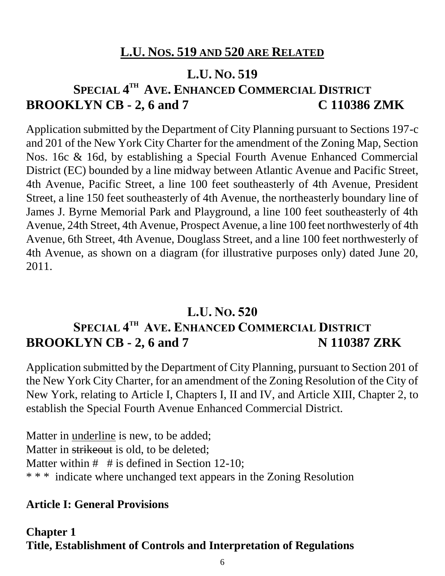# **L.U. NOS. 519 AND 520 ARE RELATED**

#### **L.U. NO. 519**

# **SPECIAL 4 TH AVE. ENHANCED COMMERCIAL DISTRICT BROOKLYN CB - 2, 6 and 7 C 110386 ZMK**

Application submitted by the Department of City Planning pursuant to Sections 197-c and 201 of the New York City Charter for the amendment of the Zoning Map, Section Nos. 16c & 16d, by establishing a Special Fourth Avenue Enhanced Commercial District (EC) bounded by a line midway between Atlantic Avenue and Pacific Street, 4th Avenue, Pacific Street, a line 100 feet southeasterly of 4th Avenue, President Street, a line 150 feet southeasterly of 4th Avenue, the northeasterly boundary line of James J. Byrne Memorial Park and Playground, a line 100 feet southeasterly of 4th Avenue, 24th Street, 4th Avenue, Prospect Avenue, a line 100 feet northwesterly of 4th Avenue, 6th Street, 4th Avenue, Douglass Street, and a line 100 feet northwesterly of 4th Avenue, as shown on a diagram (for illustrative purposes only) dated June 20, 2011.

## **L.U. NO. 520 SPECIAL 4 TH AVE. ENHANCED COMMERCIAL DISTRICT BROOKLYN CB - 2, 6 and 7 N 110387 ZRK**

Application submitted by the Department of City Planning, pursuant to Section 201 of the New York City Charter, for an amendment of the Zoning Resolution of the City of New York, relating to Article I, Chapters I, II and IV, and Article XIII, Chapter 2, to establish the Special Fourth Avenue Enhanced Commercial District.

Matter in underline is new, to be added; Matter in strikeout is old, to be deleted; Matter within  $#$  # is defined in Section 12-10; \* \* \* indicate where unchanged text appears in the Zoning Resolution

#### **Article I: General Provisions**

#### **Chapter 1 Title, Establishment of Controls and Interpretation of Regulations**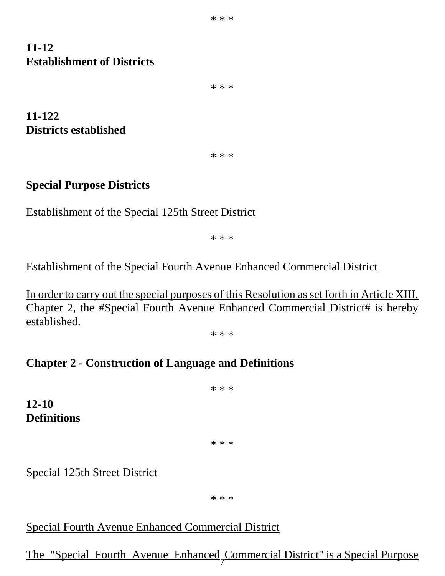#### **11-12 Establishment of Districts**

\* \* \*

**11-122 Districts established**

\* \* \*

#### **Special Purpose Districts**

Establishment of the Special 125th Street District

\* \* \*

#### Establishment of the Special Fourth Avenue Enhanced Commercial District

In order to carry out the special purposes of this Resolution as set forth in Article XIII, Chapter 2, the #Special Fourth Avenue Enhanced Commercial District# is hereby established.

\* \* \*

#### **Chapter 2 - Construction of Language and Definitions**

\* \* \* **12-10 Definitions** \* \* \*

Special 125th Street District

\* \* \*

#### Special Fourth Avenue Enhanced Commercial District

#### 7 The "Special Fourth Avenue Enhanced Commercial District" is a Special Purpose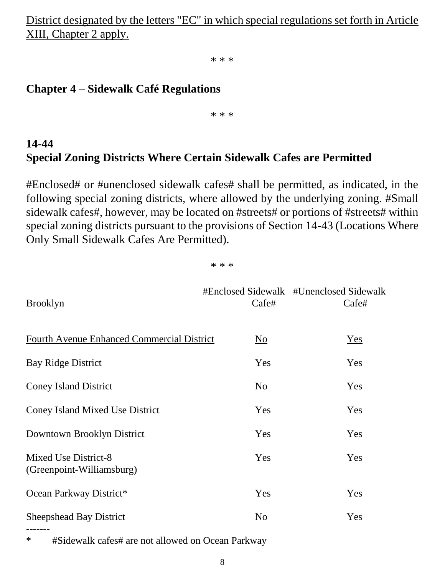District designated by the letters "EC" in which special regulations set forth in Article XIII, Chapter 2 apply.

\* \* \*

#### **Chapter 4 – Sidewalk Café Regulations**

\* \* \*

### **14-44 Special Zoning Districts Where Certain Sidewalk Cafes are Permitted**

#Enclosed# or #unenclosed sidewalk cafes# shall be permitted, as indicated, in the following special zoning districts, where allowed by the underlying zoning. #Small sidewalk cafes#, however, may be located on #streets# or portions of #streets# within special zoning districts pursuant to the provisions of Section 14-43 (Locations Where Only Small Sidewalk Cafes Are Permitted).

\* \* \*

| <b>Brooklyn</b>                                   | Cafe#                     | #Enclosed Sidewalk #Unenclosed Sidewalk<br>Cafe# |  |
|---------------------------------------------------|---------------------------|--------------------------------------------------|--|
| <b>Fourth Avenue Enhanced Commercial District</b> | $\underline{\mathrm{No}}$ | Yes                                              |  |
| <b>Bay Ridge District</b>                         | Yes                       | Yes                                              |  |
| <b>Coney Island District</b>                      | N <sub>o</sub>            | Yes                                              |  |
| <b>Coney Island Mixed Use District</b>            | Yes                       | Yes                                              |  |
| Downtown Brooklyn District                        | Yes                       | Yes                                              |  |
| Mixed Use District-8<br>(Greenpoint-Williamsburg) | Yes                       | Yes                                              |  |
| Ocean Parkway District*                           | Yes                       | Yes                                              |  |
| <b>Sheepshead Bay District</b><br>-------         | N <sub>o</sub>            | Yes                                              |  |

\* #Sidewalk cafes# are not allowed on Ocean Parkway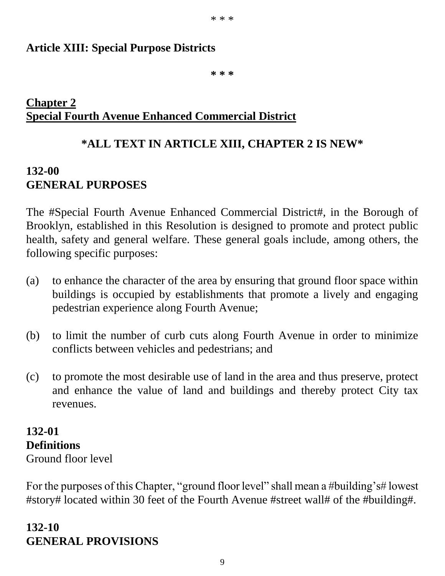\* \* \*

#### **Article XIII: Special Purpose Districts**

**\* \* \***

#### **Chapter 2 Special Fourth Avenue Enhanced Commercial District**

# **\*ALL TEXT IN ARTICLE XIII, CHAPTER 2 IS NEW\***

### **132-00 GENERAL PURPOSES**

The #Special Fourth Avenue Enhanced Commercial District#, in the Borough of Brooklyn, established in this Resolution is designed to promote and protect public health, safety and general welfare. These general goals include, among others, the following specific purposes:

- (a) to enhance the character of the area by ensuring that ground floor space within buildings is occupied by establishments that promote a lively and engaging pedestrian experience along Fourth Avenue;
- (b) to limit the number of curb cuts along Fourth Avenue in order to minimize conflicts between vehicles and pedestrians; and
- (c) to promote the most desirable use of land in the area and thus preserve, protect and enhance the value of land and buildings and thereby protect City tax revenues.

# **132-01 Definitions**

Ground floor level

For the purposes of this Chapter, "ground floor level" shall mean a #building's# lowest #story# located within 30 feet of the Fourth Avenue #street wall# of the #building#.

# **132-10 GENERAL PROVISIONS**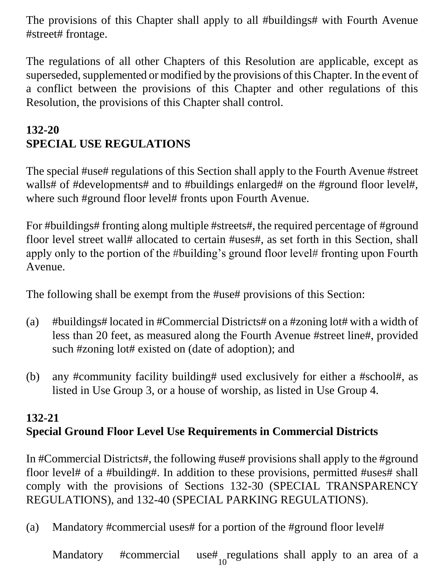The provisions of this Chapter shall apply to all #buildings# with Fourth Avenue #street# frontage.

The regulations of all other Chapters of this Resolution are applicable, except as superseded, supplemented or modified by the provisions of this Chapter. In the event of a conflict between the provisions of this Chapter and other regulations of this Resolution, the provisions of this Chapter shall control.

## **132-20 SPECIAL USE REGULATIONS**

The special #use# regulations of this Section shall apply to the Fourth Avenue #street walls# of #developments# and to #buildings enlarged# on the #ground floor level#, where such #ground floor level# fronts upon Fourth Avenue.

For #buildings# fronting along multiple #streets#, the required percentage of #ground floor level street wall# allocated to certain #uses#, as set forth in this Section, shall apply only to the portion of the #building's ground floor level# fronting upon Fourth Avenue.

The following shall be exempt from the #use# provisions of this Section:

- (a) #buildings# located in #Commercial Districts# on a #zoning lot# with a width of less than 20 feet, as measured along the Fourth Avenue #street line#, provided such #zoning lot# existed on (date of adoption); and
- (b) any #community facility building# used exclusively for either a #school#, as listed in Use Group 3, or a house of worship, as listed in Use Group 4.

## **132-21 Special Ground Floor Level Use Requirements in Commercial Districts**

In #Commercial Districts#, the following #use# provisions shall apply to the #ground floor level# of a #building#. In addition to these provisions, permitted #uses# shall comply with the provisions of Sections 132-30 (SPECIAL TRANSPARENCY REGULATIONS), and 132-40 (SPECIAL PARKING REGULATIONS).

(a) Mandatory #commercial uses# for a portion of the #ground floor level#

10 Mandatory #commercial use# regulations shall apply to an area of a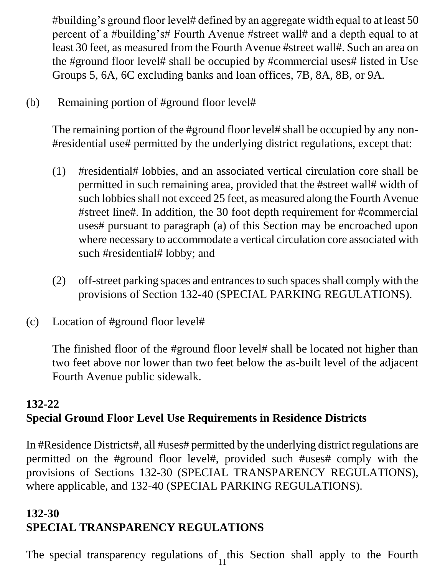#building's ground floor level# defined by an aggregate width equal to at least 50 percent of a #building's# Fourth Avenue #street wall# and a depth equal to at least 30 feet, as measured from the Fourth Avenue #street wall#. Such an area on the #ground floor level# shall be occupied by #commercial uses# listed in Use Groups 5, 6A, 6C excluding banks and loan offices, 7B, 8A, 8B, or 9A.

(b) Remaining portion of #ground floor level#

The remaining portion of the #ground floor level# shall be occupied by any non- #residential use# permitted by the underlying district regulations, except that:

- (1) #residential# lobbies, and an associated vertical circulation core shall be permitted in such remaining area, provided that the #street wall# width of such lobbies shall not exceed 25 feet, as measured along the Fourth Avenue #street line#. In addition, the 30 foot depth requirement for #commercial uses# pursuant to paragraph (a) of this Section may be encroached upon where necessary to accommodate a vertical circulation core associated with such #residential# lobby; and
- (2) off-street parking spaces and entrances to such spaces shall comply with the provisions of Section 132-40 (SPECIAL PARKING REGULATIONS).
- (c) Location of #ground floor level#

The finished floor of the #ground floor level# shall be located not higher than two feet above nor lower than two feet below the as-built level of the adjacent Fourth Avenue public sidewalk.

### **132-22 Special Ground Floor Level Use Requirements in Residence Districts**

In #Residence Districts#, all #uses# permitted by the underlying district regulations are permitted on the #ground floor level#, provided such #uses# comply with the provisions of Sections 132-30 (SPECIAL TRANSPARENCY REGULATIONS), where applicable, and 132-40 (SPECIAL PARKING REGULATIONS).

## **132-30 SPECIAL TRANSPARENCY REGULATIONS**

11 The special transparency regulations of this Section shall apply to the Fourth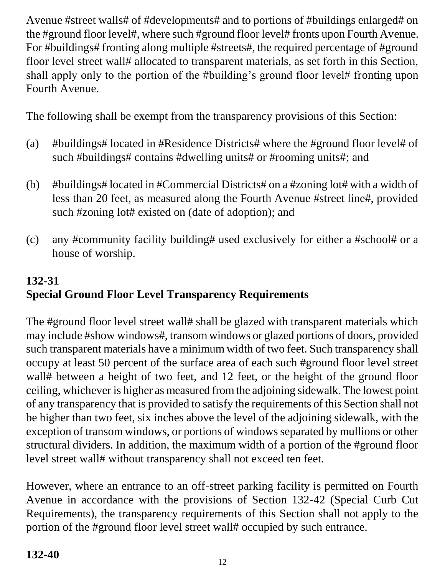Avenue #street walls# of #developments# and to portions of #buildings enlarged# on the #ground floor level#, where such #ground floor level# fronts upon Fourth Avenue. For #buildings# fronting along multiple #streets#, the required percentage of #ground floor level street wall# allocated to transparent materials, as set forth in this Section, shall apply only to the portion of the #building's ground floor level# fronting upon Fourth Avenue.

The following shall be exempt from the transparency provisions of this Section:

- (a) #buildings# located in #Residence Districts# where the #ground floor level# of such #buildings# contains #dwelling units# or #rooming units#; and
- (b) #buildings# located in #Commercial Districts# on a #zoning lot# with a width of less than 20 feet, as measured along the Fourth Avenue #street line#, provided such #zoning lot# existed on (date of adoption); and
- (c) any #community facility building# used exclusively for either a #school# or a house of worship.

# **132-31 Special Ground Floor Level Transparency Requirements**

The #ground floor level street wall# shall be glazed with transparent materials which may include #show windows#, transom windows or glazed portions of doors, provided such transparent materials have a minimum width of two feet. Such transparency shall occupy at least 50 percent of the surface area of each such #ground floor level street wall# between a height of two feet, and 12 feet, or the height of the ground floor ceiling, whichever is higher as measured from the adjoining sidewalk. The lowest point of any transparency that is provided to satisfy the requirements of this Section shall not be higher than two feet, six inches above the level of the adjoining sidewalk, with the exception of transom windows, or portions of windows separated by mullions or other structural dividers. In addition, the maximum width of a portion of the #ground floor level street wall# without transparency shall not exceed ten feet.

However, where an entrance to an off-street parking facility is permitted on Fourth Avenue in accordance with the provisions of Section 132-42 (Special Curb Cut Requirements), the transparency requirements of this Section shall not apply to the portion of the #ground floor level street wall# occupied by such entrance.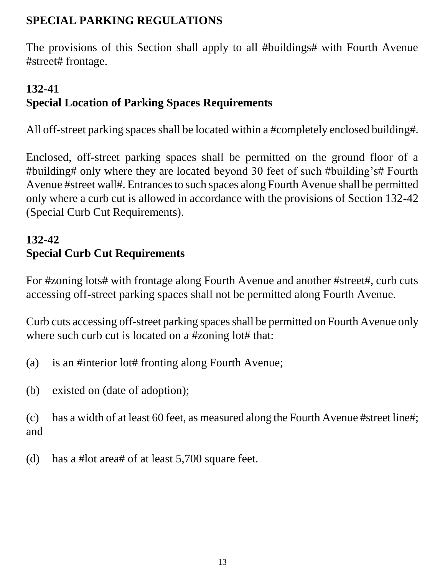### **SPECIAL PARKING REGULATIONS**

The provisions of this Section shall apply to all #buildings# with Fourth Avenue #street# frontage.

# **132-41 Special Location of Parking Spaces Requirements**

All off-street parking spaces shall be located within a #completely enclosed building#.

Enclosed, off-street parking spaces shall be permitted on the ground floor of a #building# only where they are located beyond 30 feet of such #building's# Fourth Avenue #street wall#. Entrances to such spaces along Fourth Avenue shall be permitted only where a curb cut is allowed in accordance with the provisions of Section 132-42 (Special Curb Cut Requirements).

# **132-42 Special Curb Cut Requirements**

For #zoning lots# with frontage along Fourth Avenue and another #street#, curb cuts accessing off-street parking spaces shall not be permitted along Fourth Avenue.

Curb cuts accessing off-street parking spaces shall be permitted on Fourth Avenue only where such curb cut is located on a #zoning lot# that:

- (a) is an #interior lot# fronting along Fourth Avenue;
- (b) existed on (date of adoption);

(c) has a width of at least 60 feet, as measured along the Fourth Avenue #street line#; and

(d) has a #lot area# of at least 5,700 square feet.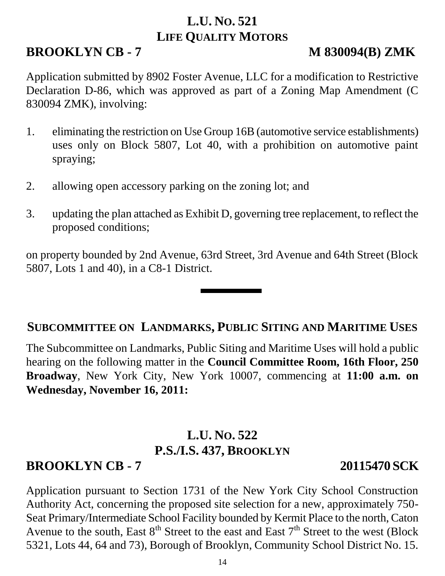# **L.U. NO. 521 LIFE QUALITY MOTORS**

# **BROOKLYN CB - 7 M 830094(B) ZMK**

Application submitted by 8902 Foster Avenue, LLC for a modification to Restrictive Declaration D-86, which was approved as part of a Zoning Map Amendment (C 830094 ZMK), involving:

- 1. eliminating the restriction on Use Group 16B (automotive service establishments) uses only on Block 5807, Lot 40, with a prohibition on automotive paint spraying;
- 2. allowing open accessory parking on the zoning lot; and
- 3. updating the plan attached as Exhibit D, governing tree replacement, to reflect the proposed conditions;

on property bounded by 2nd Avenue, 63rd Street, 3rd Avenue and 64th Street (Block 5807, Lots 1 and 40), in a C8-1 District.

#### **SUBCOMMITTEE ON LANDMARKS, PUBLIC SITING AND MARITIME USES**

The Subcommittee on Landmarks, Public Siting and Maritime Uses will hold a public hearing on the following matter in the **Council Committee Room, 16th Floor, 250 Broadway**, New York City, New York 10007, commencing at **11:00 a.m. on Wednesday, November 16, 2011:**

# **L.U. NO. 522 P.S./I.S. 437, BROOKLYN**

# **BROOKLYN CB - 7 20115470 SCK**

Application pursuant to Section 1731 of the New York City School Construction Authority Act, concerning the proposed site selection for a new, approximately 750- Seat Primary/Intermediate School Facility bounded by Kermit Place to the north, Caton Avenue to the south, East  $8<sup>th</sup>$  Street to the east and East  $7<sup>th</sup>$  Street to the west (Block 5321, Lots 44, 64 and 73), Borough of Brooklyn, Community School District No. 15.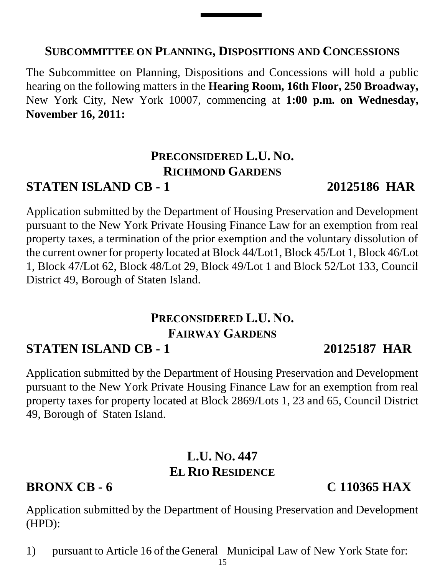#### **SUBCOMMITTEE ON PLANNING, DISPOSITIONS AND CONCESSIONS**

The Subcommittee on Planning, Dispositions and Concessions will hold a public hearing on the following matters in the **Hearing Room, 16th Floor, 250 Broadway,** New York City, New York 10007, commencing at **1:00 p.m. on Wednesday, November 16, 2011:**

# **PRECONSIDERED L.U. NO. RICHMOND GARDENS**

# **STATEN ISLAND CB - 1 20125186 HAR**

Application submitted by the Department of Housing Preservation and Development pursuant to the New York Private Housing Finance Law for an exemption from real property taxes, a termination of the prior exemption and the voluntary dissolution of the current owner for property located at Block 44/Lot1, Block 45/Lot 1, Block 46/Lot 1, Block 47/Lot 62, Block 48/Lot 29, Block 49/Lot 1 and Block 52/Lot 133, Council District 49, Borough of Staten Island.

# **PRECONSIDERED L.U. NO. FAIRWAY GARDENS**

# **STATEN ISLAND CB - 1 20125187 HAR**

Application submitted by the Department of Housing Preservation and Development pursuant to the New York Private Housing Finance Law for an exemption from real property taxes for property located at Block 2869/Lots 1, 23 and 65, Council District 49, Borough of Staten Island.

### **L.U. NO. 447 EL RIO RESIDENCE**

### **BRONX CB - 6 C 110365 HAX**

Application submitted by the Department of Housing Preservation and Development (HPD):

1) pursuant to Article 16 of the General Municipal Law of New York State for: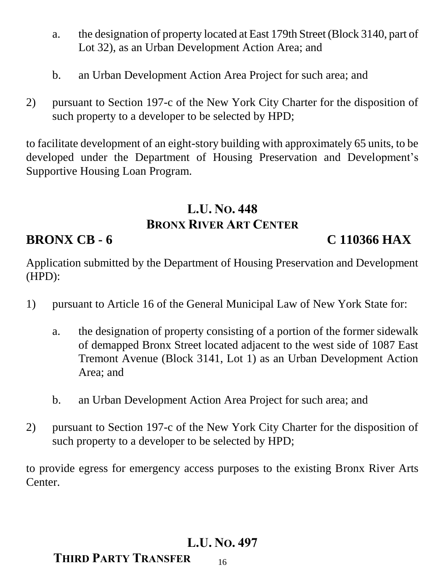- a. the designation of property located at East 179th Street (Block 3140, part of Lot 32), as an Urban Development Action Area; and
- b. an Urban Development Action Area Project for such area; and
- 2) pursuant to Section 197-c of the New York City Charter for the disposition of such property to a developer to be selected by HPD;

to facilitate development of an eight-story building with approximately 65 units, to be developed under the Department of Housing Preservation and Development's Supportive Housing Loan Program.

# **L.U. NO. 448 BRONX RIVER ART CENTER**

# **BRONX CB - 6 C 110366 HAX**

Application submitted by the Department of Housing Preservation and Development (HPD):

- 1) pursuant to Article 16 of the General Municipal Law of New York State for:
	- a. the designation of property consisting of a portion of the former sidewalk of demapped Bronx Street located adjacent to the west side of 1087 East Tremont Avenue (Block 3141, Lot 1) as an Urban Development Action Area; and
	- b. an Urban Development Action Area Project for such area; and
- 2) pursuant to Section 197-c of the New York City Charter for the disposition of such property to a developer to be selected by HPD;

to provide egress for emergency access purposes to the existing Bronx River Arts Center.

# **L.U. NO. 497**

16

# **THIRD PARTY TRANSFER**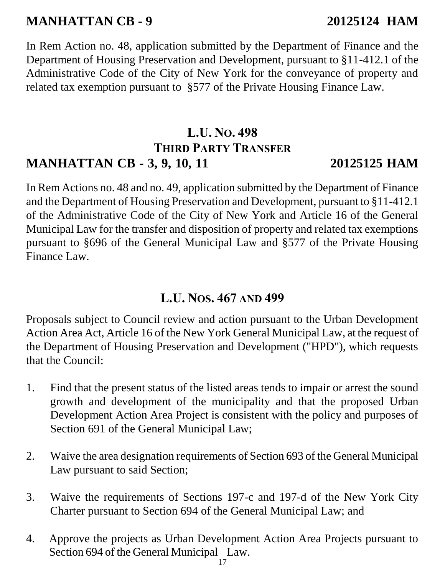# **MANHATTAN CB - 9 20125124 HAM**

In Rem Action no. 48, application submitted by the Department of Finance and the Department of Housing Preservation and Development, pursuant to §11-412.1 of the Administrative Code of the City of New York for the conveyance of property and related tax exemption pursuant to §577 of the Private Housing Finance Law.

# **L.U. NO. 498 THIRD PARTY TRANSFER MANHATTAN CB - 3, 9, 10, 11 20125125 HAM**

In Rem Actions no. 48 and no. 49, application submitted by the Department of Finance and the Department of Housing Preservation and Development, pursuant to §11-412.1 of the Administrative Code of the City of New York and Article 16 of the General Municipal Law for the transfer and disposition of property and related tax exemptions pursuant to §696 of the General Municipal Law and §577 of the Private Housing Finance Law.

### **L.U. NOS. 467 AND 499**

Proposals subject to Council review and action pursuant to the Urban Development Action Area Act, Article 16 of the New York General Municipal Law, at the request of the Department of Housing Preservation and Development ("HPD"), which requests that the Council:

- 1. Find that the present status of the listed areas tends to impair or arrest the sound growth and development of the municipality and that the proposed Urban Development Action Area Project is consistent with the policy and purposes of Section 691 of the General Municipal Law;
- 2. Waive the area designation requirements of Section 693 of the General Municipal Law pursuant to said Section;
- 3. Waive the requirements of Sections 197-c and 197-d of the New York City Charter pursuant to Section 694 of the General Municipal Law; and
- 4. Approve the projects as Urban Development Action Area Projects pursuant to Section 694 of the General Municipal Law.